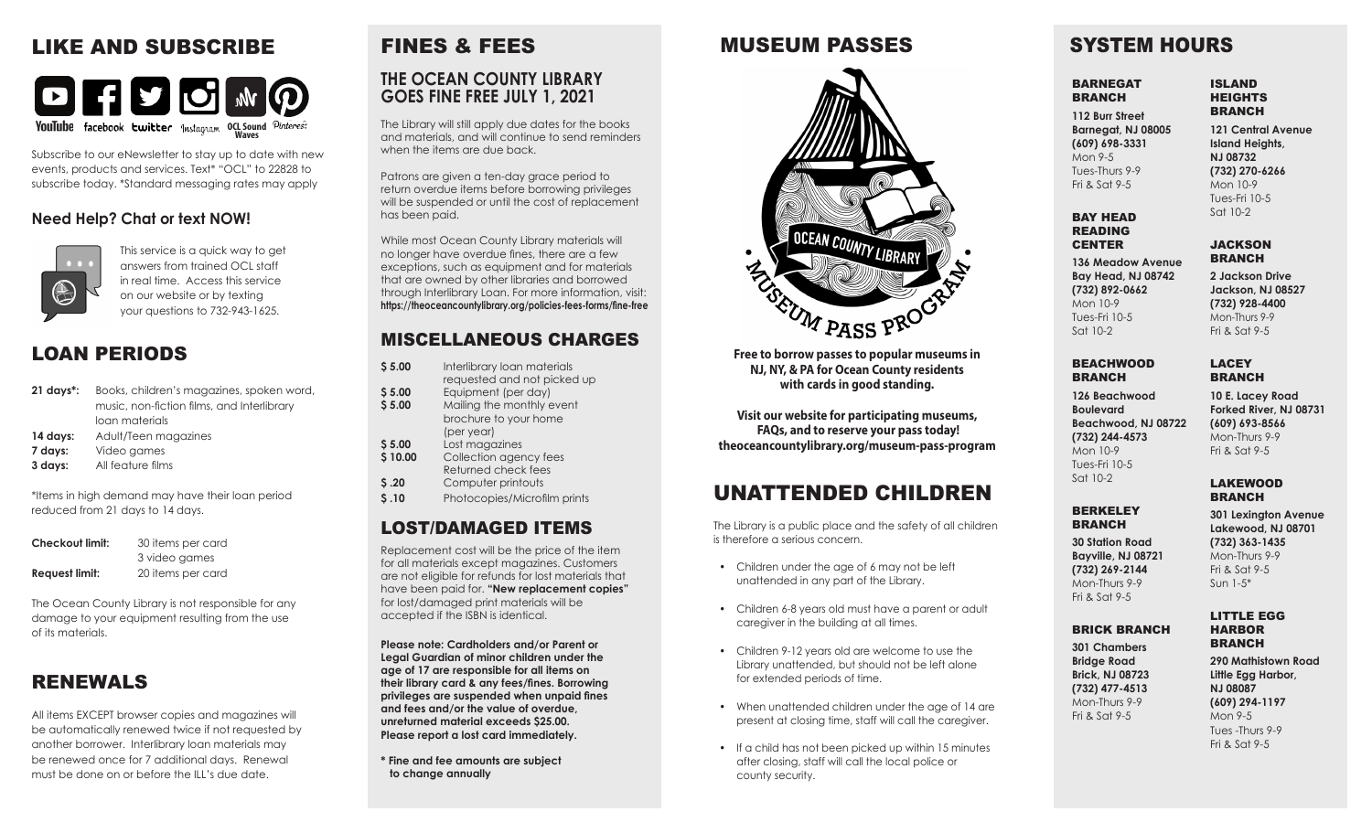# LIKE AND SUBSCRIBE



Subscribe to our eNewsletter to stay up to date with new events, products and services. Text\* "OCL" to 22828 to subscribe today. \*Standard messaging rates may apply

### **Need Help? Chat or text NOW!**



This service is a quick way to get answers from trained OCL staff in real time. Access this service on our website or by texting your questions to 732-943-1625.

## LOAN PERIODS

- **21 days\*:** Books, children's magazines, spoken word, music, non-fiction films, and Interlibrary loan materials 14 days: Adult/Teen magazines
- 
- **7 days:** Video games
- **3 days:** All feature films

\*Items in high demand may have their loan period reduced from 21 days to 14 days.

| <b>Checkout limit:</b> | 30 items per card |
|------------------------|-------------------|
|                        | 3 video games     |
| Request limit:         | 20 items per card |

The Ocean County Library is not responsible for any damage to your equipment resulting from the use of its materials.

# RENEWALS

All items EXCEPT browser copies and magazines will be automatically renewed twice if not requested by another borrower. Interlibrary loan materials may be renewed once for 7 additional days. Renewal must be done on or before the ILL's due date.

# FINES & FEES **THE OCEAN COUNTY LIBRARY GOES FINE FREE JULY 1, 2021**

The Library will still apply due dates for the books and materials, and will continue to send reminders when the items are due back.

Patrons are given a ten-day grace period to return overdue items before borrowing privileges will be suspended or until the cost of replacement has been paid.

While most Ocean County Library materials will no longer have overdue fines, there are a few exceptions, such as equipment and for materials that are owned by other libraries and borrowed through Interlibrary Loan. For more information, visit: **https://theoceancountylibrary.org/policies-fees-forms/fine-free**

### MISCELLANEOUS CHARGES

- **\$5.00** Interlibrary loan materials requested and not picked up
- **\$5.00 Equipment (per day)**<br>**\$5.00 Mailing the monthly e Mailing the monthly event** brochure to your home
- (per year)<br>**S 5.00** Lost mage **\$ 5.00** Lost magazines
- **\$10.00** Collection agency fees Returned check fees<br> **S.20** Computer printouts
- **\$ .20** Computer printouts
- **\$ .10** Photocopies/Microfilm prints

### LOST/DAMAGED ITEMS

Replacement cost will be the price of the item for all materials except magazines. Customers are not eligible for refunds for lost materials that have been paid for. **"New replacement copies"** for lost/damaged print materials will be accepted if the ISBN is identical.

**Please note: Cardholders and/or Parent or Legal Guardian of minor children under the age of 17 are responsible for all items on their library card & any fees/fines. Borrowing privileges are suspended when unpaid fines and fees and/or the value of overdue, unreturned material exceeds \$25.00. Please report a lost card immediately.**

**\* Fine and fee amounts are subject to change annually**

# MUSEUM PASSES



**Free to borrow passes to popular museums in NJ, NY, & PA for Ocean County residents with cards in good standing.** 

**Visit our website for participating museums, FAQs, and to reserve your pass today! theoceancountylibrary.org/museum-pass-program** 

# UNATTENDED CHILDREN

The Library is a public place and the safety of all children is therefore a serious concern.

- Children under the age of 6 may not be left unattended in any part of the Library.
- Children 6-8 years old must have a parent or adult caregiver in the building at all times.
- Children 9-12 years old are welcome to use the Library unattended, but should not be left alone for extended periods of time.
- When unattended children under the age of 14 are present at closing time, staff will call the caregiver.
- If a child has not been picked up within 15 minutes after closing, staff will call the local police or county security.

# SYSTEM HOURS

#### BARNEGAT **BRANCH**

**112 Burr Street Barnegat, NJ 08005 (609) 698-3331** Mon 9-5 Tues-Thurs 9-9

Fri & Sat 9-5

BAY HEAD READING **CENTER** 

Sat 10-2

**136 Meadow Avenue Bay Head, NJ 08742 (732) 892-0662** Mon 10-9 Tues-Fri 10-5

**2 Jackson Drive Jackson, NJ 08527 (732) 928-4400** Mon-Thurs 9-9 Fri & Sat 9-5

**JACKSON BRANCH** 

ISLAND HEIGHTS **BRANCH** 

**121 Central Avenue Island Heights, NJ 08732 (732) 270-6266** Mon 10-9 Tues-Fri 10-5 Sat 10-2

#### **BEACHWOOD** BRANCH

**126 Beachwood Boulevard Beachwood, NJ 08722 (732) 244-4573** Mon 10-9 Tues-Fri 10-5 Sat 10-2

#### LAKEWOOD BRANCH

#### **BERKELEY BRANCH**

**30 Station Road Bayville, NJ 08721 (732) 269-2144** Mon-Thurs 9-9 Fri & Sat 9-5

### BRICK BRANCH

**301 Chambers Bridge Road Brick, NJ 08723 (732) 477-4513** Mon-Thurs 9-9 Fri & Sat 9-5

BRANCH **290 Mathistown Road Little Egg Harbor, NJ 08087 (609) 294-1197** Mon 9-5 Tues -Thurs 9-9 Fri & Sat 9-5

**Forked River, NJ 08731 (609) 693-8566** Mon-Thurs 9-9 Fri  $\&$  Sat 9-5

**301 Lexington Avenue Lakewood, NJ 08701**

LACEY **BRANCH 10 E. Lacey Road**

**(732) 363-1435** Mon-Thurs 9-9 Fri & Sat 9-5 Sun 1-5\*

LITTLE EGG HARBOR